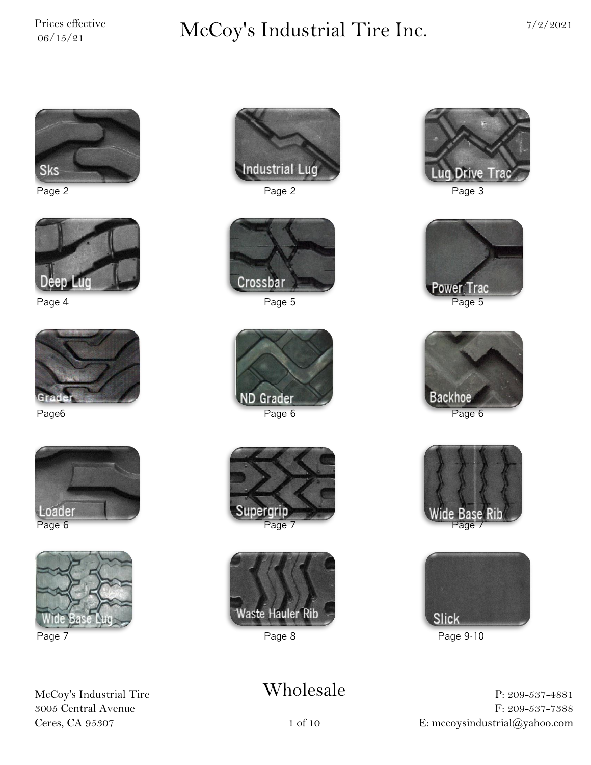# $\sum_{06/15/21}^{\text{Price} \; \text{effective}} \qquad \qquad \text{McCoy's Industrial Time Inc.} \qquad \qquad \frac{7}{2/2021}$











McCoy's Industrial Tire 3005 Central Avenue Ceres, CA 95307











## Wholesale



Page 2 Page 2 Page 3



Page 4 Page 5 Page 5







Page 7 Page 8 Page 8 Page 9-10

P: 209-537-4881 F: 209-537-7388 E: mccoysindustrial@yahoo.com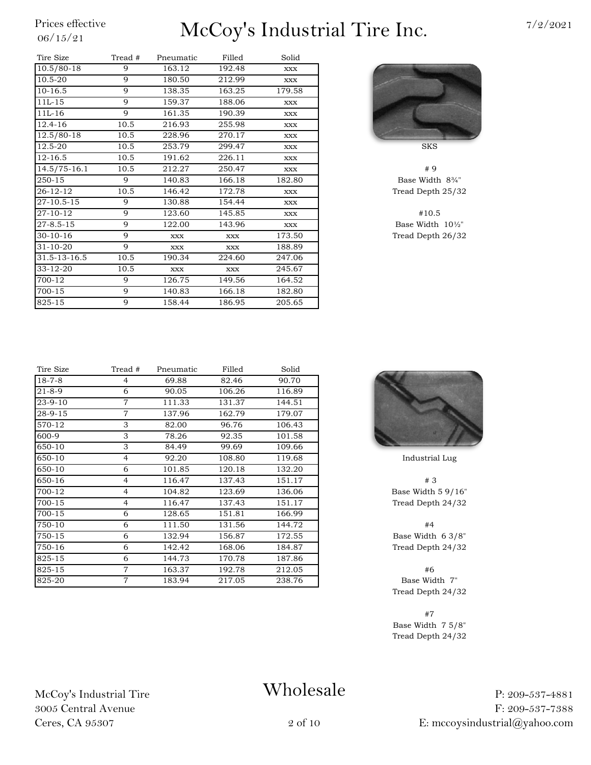# $\frac{\text{Price} \ \text{effective}}{06/15/21}$  McCoy's Industrial Tire Inc.

| Tire Size        | Tread # | Pneumatic  | Filled     | Solid      |                    |
|------------------|---------|------------|------------|------------|--------------------|
| $10.5/80-18$     | 9       | 163.12     | 192.48     | <b>XXX</b> |                    |
| $10.5 - 20$      | 9       | 180.50     | 212.99     | <b>XXX</b> |                    |
| $10-16.5$        | 9       | 138.35     | 163.25     | 179.58     |                    |
| $11L-15$         | 9       | 159.37     | 188.06     | XXX        |                    |
| $11L-16$         | 9       | 161.35     | 190.39     | XXX        |                    |
| $12.4 - 16$      | 10.5    | 216.93     | 255.98     | <b>XXX</b> |                    |
| $12.5/80-18$     | 10.5    | 228.96     | 270.17     | XXX        |                    |
| 12.5-20          | 10.5    | 253.79     | 299.47     | <b>XXX</b> | <b>SKS</b>         |
| $12 - 16.5$      | 10.5    | 191.62     | 226.11     | <b>XXX</b> |                    |
| $14.5/75 - 16.1$ | 10.5    | 212.27     | 250.47     | <b>XXX</b> | # 9                |
| 250-15           | 9       | 140.83     | 166.18     | 182.80     | Base Width         |
| $26 - 12 - 12$   | 10.5    | 146.42     | 172.78     | XXX        | Tread Depth        |
| 27-10.5-15       | 9       | 130.88     | 154.44     | <b>XXX</b> |                    |
| 27-10-12         | 9       | 123.60     | 145.85     | XXX        | #10.5              |
| $27 - 8.5 - 15$  | 9       | 122.00     | 143.96     | XXX        | Base Width         |
| $30 - 10 - 16$   | 9       | <b>XXX</b> | XXX        | 173.50     | <b>Tread Depth</b> |
| $31 - 10 - 20$   | 9       | <b>XXX</b> | <b>XXX</b> | 188.89     |                    |
| 31.5-13-16.5     | 10.5    | 190.34     | 224.60     | 247.06     |                    |
| 33-12-20         | 10.5    | XXX        | <b>XXX</b> | 245.67     |                    |
| 700-12           | 9       | 126.75     | 149.56     | 164.52     |                    |
| 700-15           | 9       | 140.83     | 166.18     | 182.80     |                    |
| 825-15           | 9       | 158.44     | 186.95     | 205.65     |                    |
|                  |         |            |            |            |                    |



Base Width 8¾" Tread Depth 25/32

Base Width  $10\frac{1}{2}$ " Tread Depth 26/32

| Tire Size     | Tread #        | Pneumatic | Filled | Solid  |             |
|---------------|----------------|-----------|--------|--------|-------------|
| $18 - 7 - 8$  | 4              | 69.88     | 82.46  | 90.70  |             |
| $21 - 8 - 9$  | 6              | 90.05     | 106.26 | 116.89 |             |
| $23 - 9 - 10$ | $\tau$         | 111.33    | 131.37 | 144.51 |             |
| 28-9-15       | $\overline{7}$ | 137.96    | 162.79 | 179.07 |             |
| 570-12        | 3              | 82.00     | 96.76  | 106.43 |             |
| 600-9         | 3              | 78.26     | 92.35  | 101.58 |             |
| 650-10        | 3              | 84.49     | 99.69  | 109.66 |             |
| 650-10        | $\overline{4}$ | 92.20     | 108.80 | 119.68 | Industria   |
| 650-10        | 6              | 101.85    | 120.18 | 132.20 |             |
| 650-16        | 4              | 116.47    | 137.43 | 151.17 | #3          |
| 700-12        | $\overline{4}$ | 104.82    | 123.69 | 136.06 | Base Width  |
| 700-15        | $\overline{4}$ | 116.47    | 137.43 | 151.17 | Tread Deptl |
| 700-15        | 6              | 128.65    | 151.81 | 166.99 |             |
| 750-10        | 6              | 111.50    | 131.56 | 144.72 | #4          |
| 750-15        | 6              | 132.94    | 156.87 | 172.55 | Base Width  |
| 750-16        | 6              | 142.42    | 168.06 | 184.87 | Tread Deptl |
| 825-15        | 6              | 144.73    | 170.78 | 187.86 |             |
| 825-15        | $\overline{7}$ | 163.37    | 192.78 | 212.05 | #6          |
| 825-20        | $\overline{7}$ | 183.94    | 217.05 | 238.76 | Base Wid    |
|               |                |           |        |        |             |



Industrial Lug

Base Width  $5$  9/16" Tread Depth 24/32

Base Width 6 3/8" Tread Depth 24/32

Base Width 7" Tread Depth 24/32

#7 Base Width 7 5/8" Tread Depth 24/32

P: 209-537-4881 F: 209-537-7388 E: mccoysindustrial@yahoo.com

McCoy's Industrial Tire 3005 Central Avenue Ceres, CA 95307

# Wholesale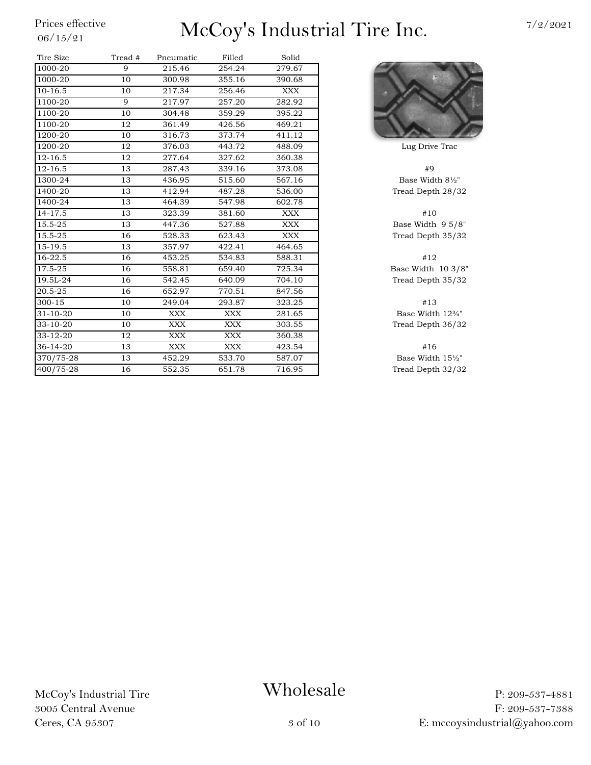| Tire Size      | Tread # | Pneumatic  | Filled     | Solid      |                    |
|----------------|---------|------------|------------|------------|--------------------|
| 1000-20        | 9       | 215.46     | 254.24     | 279.67     |                    |
| 1000-20        | 10      | 300.98     | 355.16     | 390.68     |                    |
| $10-16.5$      | 10      | 217.34     | 256.46     | <b>XXX</b> |                    |
| 1100-20        | 9       | 217.97     | 257.20     | 282.92     |                    |
| 1100-20        | 10      | 304.48     | 359.29     | 395.22     |                    |
| 1100-20        | 12      | 361.49     | 426.56     | 469.21     |                    |
| 1200-20        | 10      | 316.73     | 373.74     | 411.12     |                    |
| 1200-20        | 12      | 376.03     | 443.72     | 488.09     | Lug Drive          |
| $12 - 16.5$    | 12      | 277.64     | 327.62     | 360.38     |                    |
| $12 - 16.5$    | 13      | 287.43     | 339.16     | 373.08     | #9                 |
| 1300-24        | 13      | 436.95     | 515.60     | 567.16     | <b>Base Widt</b>   |
| 1400-20        | 13      | 412.94     | 487.28     | 536.00     | Tread Deptl        |
| 1400-24        | 13      | 464.39     | 547.98     | 602.78     |                    |
| 14-17.5        | 13      | 323.39     | 381.60     | <b>XXX</b> | #10                |
| 15.5-25        | 13      | 447.36     | 527.88     | XXX        | <b>Base Width</b>  |
| 15.5-25        | 16      | 528.33     | 623.43     | XXX        | <b>Tread Deptl</b> |
| 15-19.5        | 13      | 357.97     | 422.41     | 464.65     |                    |
| 16-22.5        | 16      | 453.25     | 534.83     | 588.31     | #12                |
| 17.5-25        | 16      | 558.81     | 659.40     | 725.34     | Base Width         |
| 19.5L-24       | 16      | 542.45     | 640.09     | 704.10     | Tread Deptl        |
| 20.5-25        | 16      | 652.97     | 770.51     | 847.56     |                    |
| $300 - 15$     | 10      | 249.04     | 293.87     | 323.25     | #13                |
| $31 - 10 - 20$ | 10      | XXX        | XXX        | 281.65     | <b>Base Widtl</b>  |
| $33 - 10 - 20$ | 10      | <b>XXX</b> | <b>XXX</b> | 303.55     | <b>Tread Deptl</b> |
| $33 - 12 - 20$ | 12      | XXX        | XXX        | 360.38     |                    |
| $36 - 14 - 20$ | 13      | <b>XXX</b> | XXX        | 423.54     | #16                |
| 370/75-28      | 13      | 452.29     | 533.70     | 587.07     | Base Widtl         |
| 400/75-28      | 16      | 552.35     | 651.78     | 716.95     | <b>Tread Deptl</b> |



Lug Drive Trac

Base Width  $8\frac{1}{2}$ " Tread Depth 28/32

Base Width 9 5/8" Tread Depth 35/32

Base Width  $10\frac{3}{8}$ " Tread Depth 35/32

Base Width  $12\%$ " Tread Depth 36/32

Base Width 15½" Tread Depth 32/32

McCoy's Industrial Tire 3005 Central Avenue Ceres, CA 95307

### Wholesale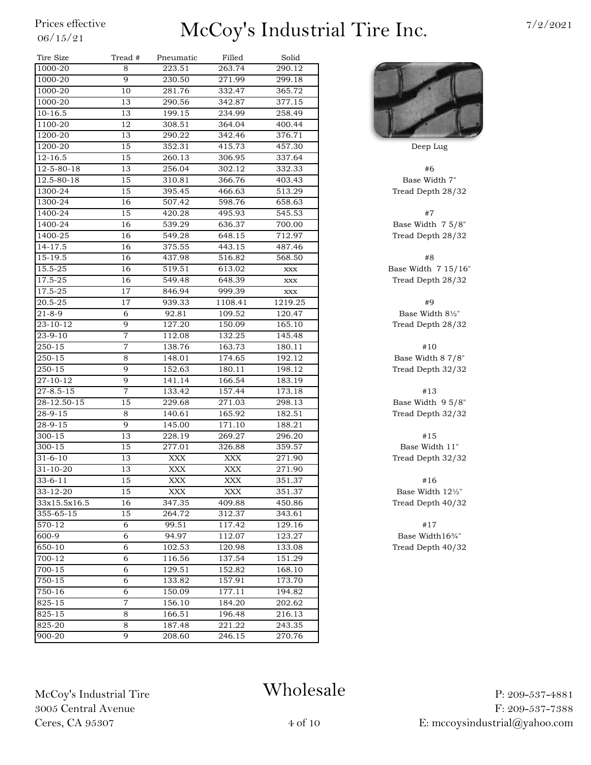| Tire Size       | Tread #        | Pneumatic    | Filled         | Solid   |                |
|-----------------|----------------|--------------|----------------|---------|----------------|
| 1000-20         | 8              | 223.51       | 263.74         | 290.12  |                |
| 1000-20         | 9              | 230.50       | 271.99         | 299.18  |                |
| 1000-20         | 10             | 281.76       | 332.47         | 365.72  |                |
| 1000-20         | 13             | 290.56       | 342.87         | 377.15  |                |
| $10 - 16.5$     | 13             | 199.15       | 234.99         | 258.49  |                |
| 1100-20         | 12             | 308.51       | 364.04         | 400.44  |                |
| 1200-20         | 13             | 290.22       | 342.46         | 376.71  |                |
| 1200-20         | 15             | 352.31       | 415.73         | 457.30  | Deep Lug       |
| $12 - 16.5$     | 15             | 260.13       | 306.95         | 337.64  |                |
| 12-5-80-18      | 13             | 256.04       | 302.12         | 332.33  | #6             |
| 12.5-80-18      | 15             | 310.81       | 366.76         | 403.43  | Base Width     |
| 1300-24         | 15             | 395.45       | 466.63         | 513.29  | Tread Depth 2  |
| 1300-24         | 16             | 507.42       | 598.76         | 658.63  |                |
| 1400-24         | 15             | 420.28       | 495.93         | 545.53  | #7             |
| 1400-24         | 16             | 539.29       | 636.37         | 700.00  | Base Width 7   |
| 1400-25         | 16             | 549.28       | 648.15         | 712.97  | Tread Depth 2  |
| 14-17.5         | 16             | 375.55       | 443.15         | 487.46  |                |
| 15-19.5         | 16             | 437.98       | 516.82         | 568.50  | #8             |
| 15.5-25         | 16             | 519.51       | 613.02         | XXX     | Base Width 7 1 |
| 17.5-25         | 16             | 549.48       | 648.39         | XXX     | Tread Depth 2  |
| 17.5-25         | 17             | 846.94       | 999.39         | XXX     |                |
| 20.5-25         | 17             | 939.33       | 1108.41        | 1219.25 | #9             |
| $21 - 8 - 9$    | 6              | 92.81        | 109.52         | 120.47  | Base Width 8   |
| 23-10-12        | 9              | 127.20       | 150.09         | 165.10  | Tread Depth 2  |
| $23 - 9 - 10$   | 7              | 112.08       | 132.25         | 145.48  |                |
| 250-15          | $\overline{7}$ | 138.76       | 163.73         | 180.11  | #10            |
| 250-15          | 8              | 148.01       | 174.65         | 192.12  | Base Width 8   |
| 250-15          | 9              | 152.63       | 180.11         | 198.12  | Tread Depth 3  |
| 27-10-12        | 9              | 141.14       | 166.54         | 183.19  |                |
| $27 - 8.5 - 15$ | $\overline{7}$ | 133.42       | 157.44         | 173.18  | #13            |
| 28-12.50-15     | 15             | 229.68       | 271.03         | 298.13  | Base Width 9   |
| 28-9-15         | 8              | 140.61       | 165.92         | 182.51  | Tread Depth 3  |
| 28-9-15         | 9              | 145.00       | 171.10         | 188.21  |                |
| 300-15          | 13             | 228.19       | 269.27         | 296.20  | #15            |
| 300-15          | 15             | 277.01       | 326.88         | 359.57  | Base Width     |
| $31 - 6 - 10$   | 13             | <b>XXX</b>   | <b>XXX</b>     | 271.90  | Tread Depth 3  |
| $31 - 10 - 20$  | 13             | XXX          | XXX            | 271.90  |                |
| $33-6-11$       | $15\,$         | $\bold{XXX}$ | $\mathbf{XXX}$ | 351.37  | #16            |
| 33-12-20        | 15             | XXX          | XXX            | 351.37  | Base Width 1   |
| 33x15.5x16.5    | 16             | 347.35       | 409.88         | 450.86  | Tread Depth 4  |
| 355-65-15       | 15             | 264.72       | 312.37         | 343.61  |                |
| 570-12          | 6              | 99.51        | 117.42         | 129.16  | #17            |
| 600-9           | 6              | 94.97        | 112.07         | 123.27  | Base Width1    |
| 650-10          | 6              | 102.53       | 120.98         | 133.08  | Tread Depth 4  |
| 700-12          | 6              | 116.56       | 137.54         | 151.29  |                |
| 700-15          | 6              | 129.51       | 152.82         | 168.10  |                |
| 750-15          | 6              | 133.82       | 157.91         | 173.70  |                |
| 750-16          | 6              | 150.09       | 177.11         | 194.82  |                |
| 825-15          | $\overline{7}$ | 156.10       | 184.20         | 202.62  |                |
| 825-15          | 8              | 166.51       | 196.48         | 216.13  |                |
| 825-20          | 8              | 187.48       | 221.22         | 243.35  |                |
| 900-20          | 9              | 208.60       | 246.15         | 270.76  |                |



Base Width 7" Tread Depth 28/32

Base Width 7 5/8" Tread Depth 28/32

Base Width 7 15/16" Tread Depth 28/32

Base Width  $8\frac{1}{2}$ " Tread Depth 28/32

Base Width 8 7/8" Tread Depth 32/32

Base Width 9 5/8" Tread Depth 32/32

Base Width 11" Tread Depth 32/32

Base Width 12½" Tread Depth 40/32

Base Width16¾" Tread Depth 40/32

McCoy's Industrial Tire 3005 Central Avenue Ceres, CA 95307

# Wholesale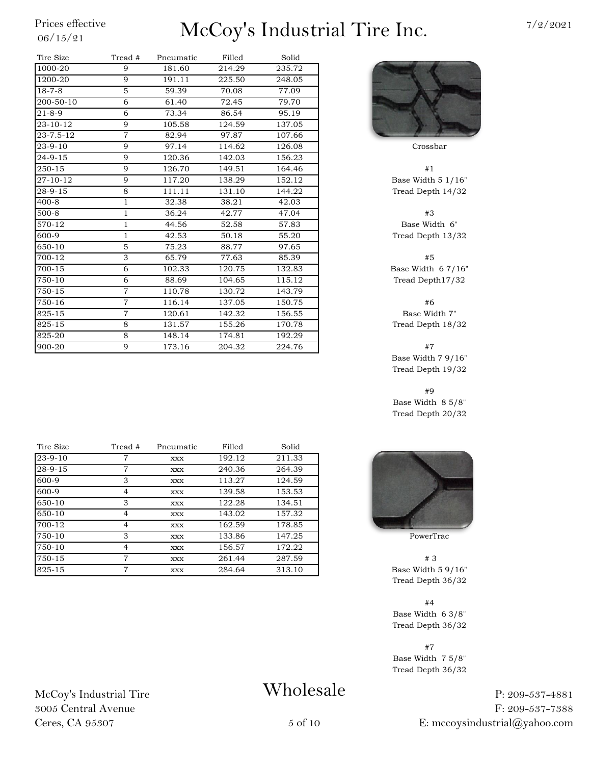| Tire Size      | Tread #        | Pneumatic | Filled | Solid  |                   |
|----------------|----------------|-----------|--------|--------|-------------------|
| 1000-20        | 9              | 181.60    | 214.29 | 235.72 |                   |
| 1200-20        | 9              | 191.11    | 225.50 | 248.05 |                   |
| $18 - 7 - 8$   | 5              | 59.39     | 70.08  | 77.09  |                   |
| 200-50-10      | 6              | 61.40     | 72.45  | 79.70  |                   |
| $21 - 8 - 9$   | 6              | 73.34     | 86.54  | 95.19  |                   |
| $23 - 10 - 12$ | 9              | 105.58    | 124.59 | 137.05 |                   |
| 23-7.5-12      | $\overline{7}$ | 82.94     | 97.87  | 107.66 |                   |
| $23 - 9 - 10$  | 9              | 97.14     | 114.62 | 126.08 | Crossbar          |
| $24 - 9 - 15$  | 9              | 120.36    | 142.03 | 156.23 |                   |
| 250-15         | 9              | 126.70    | 149.51 | 164.46 | #1                |
| 27-10-12       | 9              | 117.20    | 138.29 | 152.12 | Base Width 5      |
| 28-9-15        | 8              | 111.11    | 131.10 | 144.22 | Tread Depth 1     |
| $400 - 8$      | $\mathbf{1}$   | 32.38     | 38.21  | 42.03  |                   |
| $500 - 8$      | $\mathbf{1}$   | 36.24     | 42.77  | 47.04  | #3                |
| 570-12         | 1              | 44.56     | 52.58  | 57.83  | <b>Base Width</b> |
| 600-9          | 1              | 42.53     | 50.18  | 55.20  | Tread Depth 1     |
| 650-10         | 5              | 75.23     | 88.77  | 97.65  |                   |
| 700-12         | 3              | 65.79     | 77.63  | 85.39  | #5                |
| $700 - 15$     | 6              | 102.33    | 120.75 | 132.83 | Base Width 6      |
| 750-10         | 6              | 88.69     | 104.65 | 115.12 | Tread Depth1      |
| 750-15         | $\overline{7}$ | 110.78    | 130.72 | 143.79 |                   |
| 750-16         | $\overline{7}$ | 116.14    | 137.05 | 150.75 | #6                |
| 825-15         | $\overline{7}$ | 120.61    | 142.32 | 156.55 | <b>Base Width</b> |
| 825-15         | 8              | 131.57    | 155.26 | 170.78 | Tread Depth 1     |
| 825-20         | 8              | 148.14    | 174.81 | 192.29 |                   |
| 900-20         | 9              | 173.16    | 204.32 | 224.76 | #7                |

| Tire Size | Tread # | Pneumatic  | Filled | Solid  |                |
|-----------|---------|------------|--------|--------|----------------|
| $23-9-10$ | 7       | XXX        | 192.12 | 211.33 |                |
| 28-9-15   | 7       | XXX        | 240.36 | 264.39 |                |
| 600-9     | 3       | XXX        | 113.27 | 124.59 |                |
| 600-9     | 4       | <b>XXX</b> | 139.58 | 153.53 |                |
| 650-10    | З       | <b>XXX</b> | 122.28 | 134.51 |                |
| 650-10    | 4       | <b>XXX</b> | 143.02 | 157.32 |                |
| 700-12    | 4       | XXX        | 162.59 | 178.85 |                |
| 750-10    | 3       | XXX        | 133.86 | 147.25 | PowerTrac      |
| 750-10    | 4       | XXX        | 156.57 | 172.22 |                |
| 750-15    | 7       | XXX        | 261.44 | 287.59 | #3             |
| 825-15    | 7       | <b>XXX</b> | 284.64 | 313.10 | Base Width 5 9 |

Base Width  $5$   $1/16"$ Tread Depth 14/32

Base Width 6" Tread Depth 13/32

Base Width  $67/16"$ Tread Depth17/32

Base Width 7" Tread Depth 18/32

Base Width 7 9/16" Tread Depth 19/32

#9 Base Width 8 5/8" Tread Depth 20/32



Base Width  $59/16"$ Tread Depth 36/32

#4 Base Width 6 3/8" Tread Depth 36/32

#7 Base Width 7 5/8" Tread Depth 36/32

> P: 209-537-4881 F: 209-537-7388 E: mccoysindustrial@yahoo.com

### McCoy's Industrial Tire 3005 Central Avenue Ceres, CA 95307

## Wholesale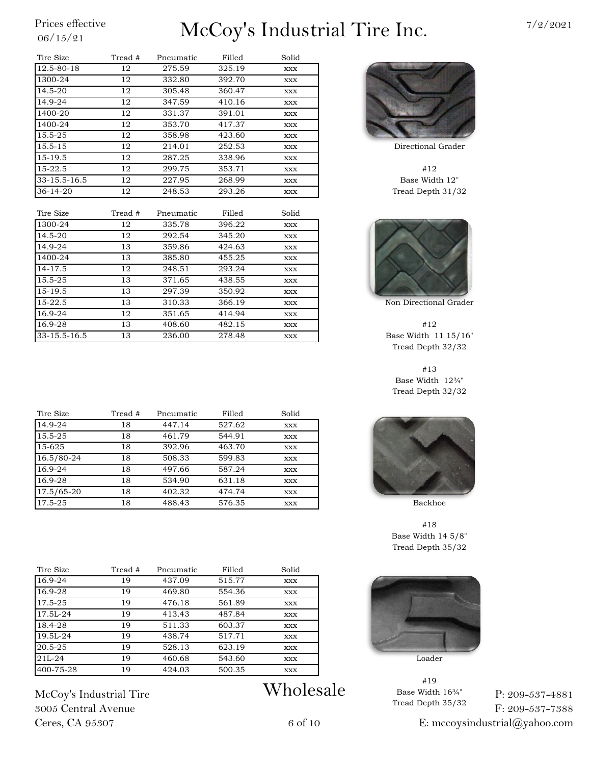| Tire Size      | Tread # | Pneumatic | Filled | Solid      |             |
|----------------|---------|-----------|--------|------------|-------------|
| 12.5-80-18     | 12      | 275.59    | 325.19 | XXX        |             |
| 1300-24        | 12      | 332.80    | 392.70 | XXX        |             |
| 14.5-20        | 12      | 305.48    | 360.47 | XXX        |             |
| 14.9-24        | 12      | 347.59    | 410.16 | XXX        |             |
| 1400-20        | 12      | 331.37    | 391.01 | XXX        |             |
| 1400-24        | 12      | 353.70    | 417.37 | XXX        |             |
| 15.5-25        | 12      | 358.98    | 423.60 | XXX        |             |
| $15.5 - 15$    | 12      | 214.01    | 252.53 | XXX        | Directional |
| 15-19.5        | 12      | 287.25    | 338.96 | XXX        |             |
| $15-22.5$      | 12      | 299.75    | 353.71 | XXX        | #12         |
| 33-15.5-16.5   | 12      | 227.95    | 268.99 | XXX        | Base Wid    |
| $36 - 14 - 20$ | 12      | 248.53    | 293.26 | <b>XXX</b> | Tread Deptl |

| Tire Size    | Tread # | Pneumatic | Filled | Solid |               |
|--------------|---------|-----------|--------|-------|---------------|
| 1300-24      | 12      | 335.78    | 396.22 | XXX   |               |
| 14.5-20      | 12      | 292.54    | 345.20 | XXX   |               |
| 14.9-24      | 13      | 359.86    | 424.63 | XXX   |               |
| 1400-24      | 13      | 385.80    | 455.25 | XXX   |               |
| 14-17.5      | 12      | 248.51    | 293.24 | XXX   |               |
| 15.5-25      | 13      | 371.65    | 438.55 | XXX   |               |
| 15-19.5      | 13      | 297.39    | 350.92 | XXX   |               |
| 15-22.5      | 13      | 310.33    | 366.19 | XXX   | Non Direction |
| 16.9-24      | 12      | 351.65    | 414.94 | XXX   |               |
| 16.9-28      | 13      | 408.60    | 482.15 | XXX   | #12           |
| 33-15.5-16.5 | 13      | 236.00    | 278.48 | XXX   | Base Width    |

| Tire Size   | Tread # | Pneumatic | Filled | Solid      |         |
|-------------|---------|-----------|--------|------------|---------|
| $14.9 - 24$ | 18      | 447.14    | 527.62 | <b>XXX</b> |         |
| 15.5-25     | 18      | 461.79    | 544.91 | <b>XXX</b> |         |
| 15-625      | 18      | 392.96    | 463.70 | <b>XXX</b> |         |
| 16.5/80-24  | 18      | 508.33    | 599.83 | <b>XXX</b> |         |
| $16.9 - 24$ | 18      | 497.66    | 587.24 | <b>XXX</b> |         |
| 16.9-28     | 18      | 534.90    | 631.18 | <b>XXX</b> |         |
| 17.5/65-20  | 18      | 402.32    | 474.74 | <b>XXX</b> |         |
| 17.5-25     | 18      | 488.43    | 576.35 | <b>XXX</b> | Backhoe |

| Tire Size | Tread # | Pneumatic | Filled | Solid      |
|-----------|---------|-----------|--------|------------|
| 16.9-24   | 19      | 437.09    | 515.77 | <b>XXX</b> |
| 16.9-28   | 19      | 469.80    | 554.36 | <b>XXX</b> |
| 17.5-25   | 19      | 476.18    | 561.89 | <b>XXX</b> |
| 17.5L-24  | 19      | 413.43    | 487.84 | <b>XXX</b> |
| 18.4-28   | 19      | 511.33    | 603.37 | <b>XXX</b> |
| 19.5L-24  | 19      | 438.74    | 517.71 | <b>XXX</b> |
| 20.5-25   | 19      | 528.13    | 623.19 | <b>XXX</b> |
| $21L-24$  | 19      | 460.68    | 543.60 | XXX        |
| 400-75-28 | 19      | 424.03    | 500.35 | <b>XXX</b> |

McCoy's Industrial Tire 3005 Central Avenue Ceres, CA 95307

Wholesale



Directional Grader

Base Width 12" Tread Depth 31/32



Non Directional Grader

Base Width 11 15/16" Tread Depth 32/32

#13 Base Width 12¾" Tread Depth 32/32



#18 Base Width 14 5/8" Tread Depth 35/32



#19 Base Width 16¾" Tread Depth 35/32

P: 209-537-4881 F: 209-537-7388

E: mccoysindustrial@yahoo.com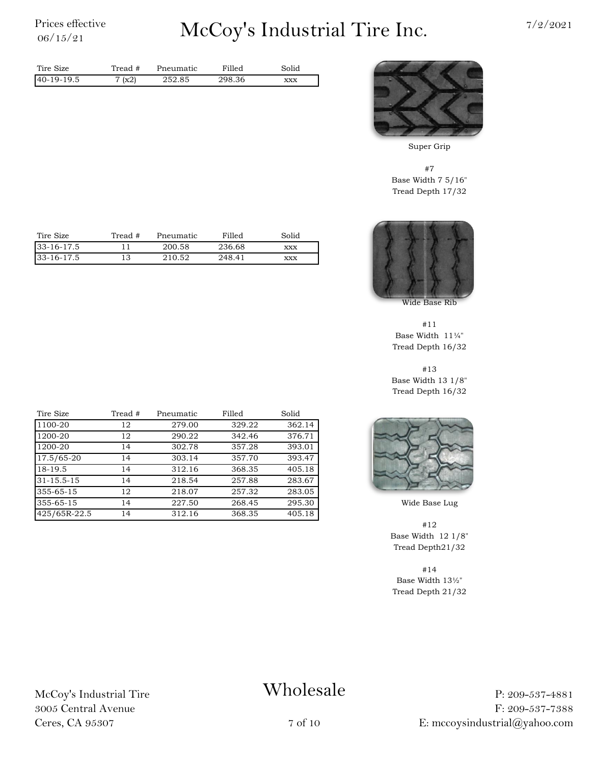# $\sum_{06/15/21}^{\text{Price} \; \text{effective}} \qquad \qquad \text{McCoy's Industrial Time Inc.} \qquad \qquad \frac{7}{2/2021}$



Super Grip

#7 Base Width 7 5/16" Tread Depth 17/32



Wide Base Rib

#11 Base Width 11¼" Tread Depth 16/32

#13 Base Width 13 1/8" Tread Depth 16/32



Wide Base Lug

#12 Base Width 12 1/8" Tread Depth21/32

#14 Base Width 13½" Tread Depth 21/32

| Tire Size  | Tread # | Pneumatic | Filled | Solid |
|------------|---------|-----------|--------|-------|
| 33-16-17.5 |         | 200.58    | 236.68 | XXX   |
| 33-16-17.5 |         | 210.52    | 248.41 | XXX   |

Tire Size Tread # Pneumatic Filled Solid 40-19-19.5 252.85 298.36 xxx

Tread #

7 (x2)

| Tire Size        | Tread # | Pneumatic | Filled | Solid  |
|------------------|---------|-----------|--------|--------|
| 1100-20          | 12      | 279.00    | 329.22 | 362.14 |
| 1200-20          | 12      | 290.22    | 342.46 | 376.71 |
| 1200-20          | 14      | 302.78    | 357.28 | 393.01 |
| 17.5/65-20       | 14      | 303.14    | 357.70 | 393.47 |
| 18-19.5          | 14      | 312.16    | 368.35 | 405.18 |
| $31 - 15.5 - 15$ | 14      | 218.54    | 257.88 | 283.67 |
| 355-65-15        | 12      | 218.07    | 257.32 | 283.05 |
| 355-65-15        | 14      | 227.50    | 268.45 | 295.30 |
| 425/65R-22.5     | 14      | 312.16    | 368.35 | 405.18 |

McCoy's Industrial Tire 3005 Central Avenue Ceres, CA 95307

### Wholesale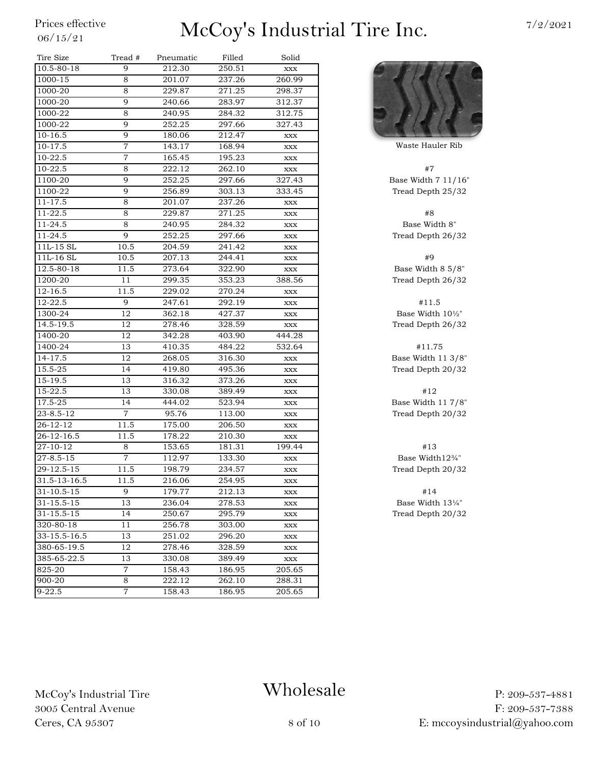| Tire Size        | Tread #        | Pneumatic | Filled | Solid          |                   |
|------------------|----------------|-----------|--------|----------------|-------------------|
| 10.5-80-18       | 9              | 212.30    | 250.51 | $\mathbf{XXX}$ |                   |
| 1000-15          | 8              | 201.07    | 237.26 | 260.99         |                   |
| 1000-20          | 8              | 229.87    | 271.25 | 298.37         |                   |
| 1000-20          | 9              | 240.66    | 283.97 | 312.37         |                   |
| 1000-22          | 8              | 240.95    | 284.32 | 312.75         |                   |
| 1000-22          | 9              | 252.25    | 297.66 | 327.43         |                   |
| $10-16.5$        | 9              | 180.06    | 212.47 | XXX            |                   |
| 10-17.5          | 7              | 143.17    | 168.94 | XXX            | Waste Haule       |
| 10-22.5          | $\overline{7}$ | 165.45    | 195.23 | XXX            |                   |
| 10-22.5          | 8              | 222.12    | 262.10 | $\mathbf{XXX}$ | #7                |
| 1100-20          | 9              | 252.25    | 297.66 | 327.43         | Base Width 7      |
| 1100-22          | 9              | 256.89    | 303.13 | 333.45         | Tread Depth       |
| $11 - 17.5$      | 8              | 201.07    | 237.26 | XXX            |                   |
| 11-22.5          | 8              | 229.87    | 271.25 | XXX            | #8                |
| 11-24.5          | 8              | 240.95    | 284.32 | XXX            | <b>Base Widtl</b> |
| 11-24.5          | 9              | 252.25    | 297.66 | XXX            | Tread Depth       |
| 11L-15 SL        | 10.5           | 204.59    | 241.42 | XXX            |                   |
| 11L-16 SL        | 10.5           | 207.13    | 244.41 | XXX            | #9                |
| $12.5 - 80 - 18$ | 11.5           | 273.64    | 322.90 | <b>XXX</b>     | Base Width &      |
| 1200-20          | 11             | 299.35    | 353.23 | 388.56         | Tread Depth       |
| $12 - 16.5$      | 11.5           | 229.02    | 270.24 | XXX            |                   |
| 12-22.5          | 9              | 247.61    | 292.19 | XXX            | #11.5             |
| 1300-24          | 12             | 362.18    | 427.37 | XXX            | Base Width        |
| 14.5-19.5        | 12             | 278.46    | 328.59 | $\mathbf{XXX}$ | Tread Depth       |
| 1400-20          | 12             | 342.28    | 403.90 | 444.28         |                   |
| 1400-24          | 13             | 410.35    | 484.22 | 532.64         | #11.75            |
| 14-17.5          | 12             | 268.05    | 316.30 | XXX            | Base Width 1      |
| 15.5-25          | 14             | 419.80    | 495.36 | XXX            | Tread Depth       |
| 15-19.5          | 13             | 316.32    | 373.26 | XXX            |                   |
| 15-22.5          | 13             | 330.08    | 389.49 | XXX            | #12               |
| 17.5-25          | 14             | 444.02    | 523.94 | XXX            | Base Width 1      |
| $23 - 8.5 - 12$  | $\overline{7}$ | 95.76     | 113.00 | <b>XXX</b>     | Tread Depth       |
| $26 - 12 - 12$   | 11.5           | 175.00    | 206.50 | XXX            |                   |
| $26 - 12 - 16.5$ | 11.5           | 178.22    | 210.30 | XXX            |                   |
| 27-10-12         | 8              | 153.65    | 181.31 | 199.44         | #13               |
| $27 - 8.5 - 15$  | 7              | 112.97    | 133.30 | XXX            | Base Width        |
| 29-12.5-15       | 11.5           | 198.79    | 234.57 | XXX            | Tread Depth       |
| 31.5-13-16.5     | 11.5           | 216.06    | 254.95 | XXX            |                   |
| $31 - 10.5 - 15$ | 9              | 179.77    | 212.13 | XXX            | #14               |
| 31-15.5-15       | 13             | 236.04    | 278.53 | XXX            | Base Width        |
| 31-15.5-15       | 14             | 250.67    | 295.79 | XXX            | Tread Depth       |
| $320 - 80 - 18$  | 11             | 256.78    | 303.00 | XXX            |                   |
| 33-15.5-16.5     | 13             | 251.02    | 296.20 | XXX            |                   |
| 380-65-19.5      | 12             | 278.46    | 328.59 | XXX            |                   |
| 385-65-22.5      | 13             | 330.08    | 389.49 | XXX            |                   |
| 825-20           | $\overline{7}$ | 158.43    | 186.95 | 205.65         |                   |
| 900-20           | 8              | 222.12    | 262.10 | 288.31         |                   |
| $9 - 22.5$       | $\overline{7}$ | 158.43    | 186.95 | 205.65         |                   |
|                  |                |           |        |                |                   |



**Waste Hauler Rib** 

Base Width 7 11/16" Tread Depth 25/32

Base Width 8" Tread Depth 26/32

Base Width 8  $5/8$ " Tread Depth 26/32

Base Width  $10\frac{1}{2}$ " Tread Depth 26/32

Base Width  $11\frac{3}{8}$ " Tread Depth 20/32

Base Width  $11\ 7/8$ " Tread Depth 20/32

Base Width12¾" Tread Depth 20/32

Base Width 13¼" Tread Depth 20/32

McCoy's Industrial Tire 3005 Central Avenue Ceres, CA 95307

### Wholesale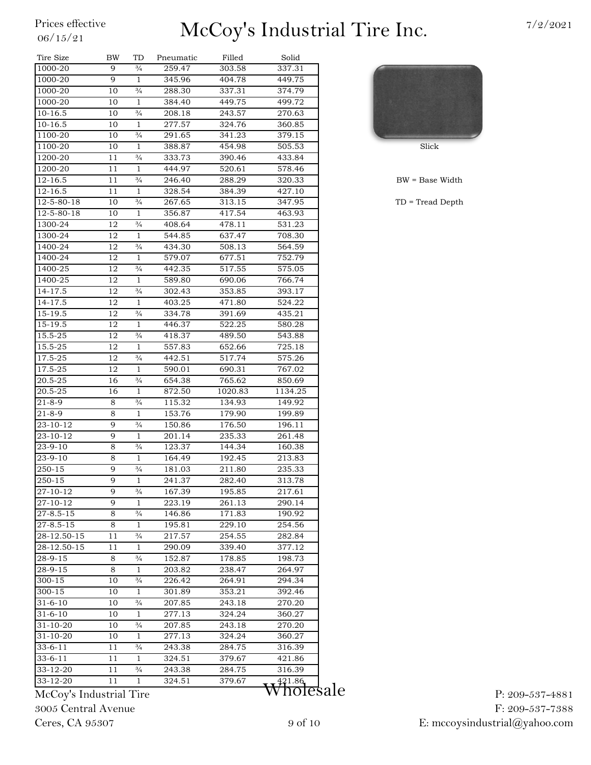| Tire Size           | BW       | TD                            | Pneumatic        | Filled           | Solid   |              |
|---------------------|----------|-------------------------------|------------------|------------------|---------|--------------|
| 1000-20             | 9        | $\frac{3}{4}$                 | 259.47           | 303.58           | 337.31  |              |
| 1000-20             | 9        | $\mathbf{1}$                  | 345.96           | 404.78           | 449.75  |              |
| 1000-20             | 10       | $\frac{3}{4}$                 | 288.30           | 337.31           | 374.79  |              |
| 1000-20             | 10       | $\mathbf{1}$                  | 384.40           | 449.75           | 499.72  |              |
| 10-16.5             | 10       | $\frac{3}{4}$                 | 208.18           | 243.57           | 270.63  |              |
| 10-16.5             | 10       | $\mathbf{1}$                  | 277.57           | 324.76           | 360.85  |              |
| 1100-20             | 10       | $\frac{3}{4}$                 | 291.65           | 341.23           | 379.15  |              |
| 1100-20             | 10       | $\mathbf{1}$                  | 388.87           | 454.98           | 505.53  | Slick        |
| 1200-20             | 11       | $\frac{3}{4}$                 | 333.73           | 390.46           | 433.84  |              |
| 1200-20             | 11       | $\mathbf{1}$                  | 444.97           | 520.61           | 578.46  |              |
| $12 - 16.5$         | 11       | $\frac{3}{4}$                 | 246.40           | 288.29           | 320.33  | $BW = Base$  |
| 12-16.5             | 11       | 1                             | 328.54           | 384.39           | 427.10  |              |
| 12-5-80-18          | 10       | $\frac{3}{4}$                 | 267.65           | 313.15           | 347.95  | $TD = Tread$ |
| 12-5-80-18          | 10       | 1                             | 356.87           | 417.54           | 463.93  |              |
| 1300-24             | 12       | $\frac{3}{4}$                 | 408.64           | 478.11           | 531.23  |              |
| 1300-24             | 12       | $\mathbf{1}$                  | 544.85           | 637.47           | 708.30  |              |
| 1400-24             | 12       | $^{3}/_{4}$                   | 434.30           | 508.13           | 564.59  |              |
| 1400-24             | 12       | $\mathbf{1}$                  | 579.07           | 677.51           | 752.79  |              |
| 1400-25             | 12       | $\frac{3}{4}$                 | 442.35           | 517.55           | 575.05  |              |
| 1400-25             | 12       | $\mathbf{1}$                  | 589.80           | 690.06           | 766.74  |              |
| 14-17.5             | 12       | $\frac{3}{4}$                 | 302.43           | 353.85           | 393.17  |              |
| 14-17.5             | 12       | $\mathbf{1}$                  | 403.25           | 471.80           | 524.22  |              |
| 15-19.5             | 12       | $\frac{3}{4}$                 | 334.78           | 391.69           | 435.21  |              |
| 15-19.5             | 12       | 1                             | 446.37           | 522.25           | 580.28  |              |
| 15.5-25             | 12       | $\frac{3}{4}$                 | 418.37           | 489.50           | 543.88  |              |
| 15.5-25             | 12       | 1                             | 557.83           | 652.66           | 725.18  |              |
| 17.5-25             | 12       | $\frac{3}{4}$                 | 442.51           | 517.74           | 575.26  |              |
| 17.5-25             | 12       | $\mathbf{1}$                  | 590.01           | 690.31           | 767.02  |              |
| 20.5-25             | 16       | $\frac{3}{4}$                 | 654.38           | 765.62           | 850.69  |              |
| 20.5-25             | 16       | $\mathbf{1}$                  | 872.50           | 1020.83          | 1134.25 |              |
| 21-8-9              | 8        | $\frac{3}{4}$                 | 115.32           | 134.93           | 149.92  |              |
| $21 - 8 - 9$        | 8        | $\mathbf{1}$                  | 153.76           | 179.90           | 199.89  |              |
| 23-10-12            | 9        | $\frac{3}{4}$                 | 150.86           | 176.50           | 196.11  |              |
| 23-10-12            | 9        | 1                             | 201.14           | 235.33           | 261.48  |              |
| $23 - 9 - 10$       | 8        | $\frac{3}{4}$                 | 123.37           | 144.34           | 160.38  |              |
| 23-9-10             | 8        | 1                             | 164.49           | 192.45           | 213.83  |              |
| 250-15              | 9        | $\frac{3}{4}$                 | 181.03           | 211.80           | 235.33  |              |
| 250-15              | 9        | $\mathbf{1}$                  | 241.37           | 282.40           | 313.78  |              |
| 27-10-12            | 9        | $\frac{3}{4}$                 | 167.39           | 195.85           | 217.61  |              |
| 27-10-12            | 9        | 1                             | 223.19           | 261.13           | 290.14  |              |
| $27 - 8.5 - 15$     | 8        | $^{3}/_{4}$                   | 146.86           | 171.83           | 190.92  |              |
| $27 - 8.5 - 15$     | 8        | $\mathbf{1}$                  | 195.81           | 229.10           | 254.56  |              |
| 28-12.50-15         | 11       | $\frac{3}{4}$                 | 217.57           | 254.55           | 282.84  |              |
| $28 - 12.50 - 15$   | 11       | $\mathbf{1}$                  | 290.09           | 339.40           | 377.12  |              |
| 28-9-15             | 8        | $\frac{3}{4}$                 | 152.87           | 178.85           | 198.73  |              |
| $28 - 9 - 15$       | 8        | $\mathbf{1}$                  | 203.82           | 238.47           | 264.97  |              |
| 300-15              | 10       | $\frac{3}{4}$                 | 226.42           | 264.91           | 294.34  |              |
| 300-15              | 10       | 1                             | 301.89           | 353.21           | 392.46  |              |
| 31-6-10             | 10       | $\frac{3}{4}$                 | 207.85           | 243.18           | 270.20  |              |
| 31-6-10             | 10       | 1                             | 277.13           | 324.24           | 360.27  |              |
| 31-10-20            | 10       | $\frac{3}{4}$                 | 207.85           | 243.18           | 270.20  |              |
| 31-10-20            | 10       | 1                             | 277.13           | 324.24           | 360.27  |              |
| 33-6-11             | 11       | $\frac{3}{4}$                 | 243.38           | 284.75           | 316.39  |              |
| 33-6-11<br>33-12-20 | 11<br>11 | $\mathbf{1}$<br>$\frac{3}{4}$ | 324.51<br>243.38 | 379.67<br>284.75 | 421.86  |              |
| 33-12-20            | 11       | $\mathbf{1}$                  | 324.51           | 379.67           | 316.39  |              |
|                     |          |                               |                  |                  | 421.86  | 1            |

 $BW = Base Width$ 

 $TD = Tread Depth$ 

McCoy's Industrial Tire 3005 Central Avenue Ceres, CA 95307

Wholesale